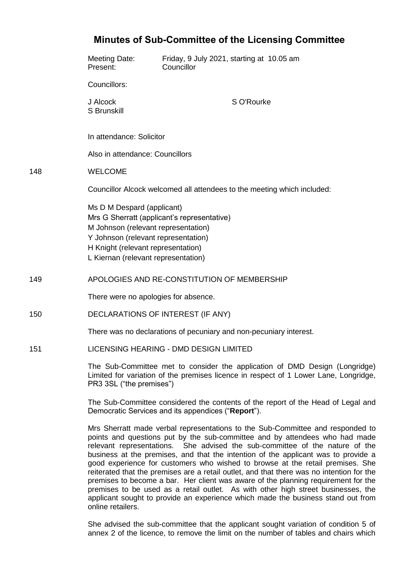| <b>Minutes of Sub-Committee of the Licensing Committee</b> |                                                                                                                                                                                                                                                                                                                                                                                                                                                                                                                    |                                                         |
|------------------------------------------------------------|--------------------------------------------------------------------------------------------------------------------------------------------------------------------------------------------------------------------------------------------------------------------------------------------------------------------------------------------------------------------------------------------------------------------------------------------------------------------------------------------------------------------|---------------------------------------------------------|
|                                                            | <b>Meeting Date:</b><br>Present:                                                                                                                                                                                                                                                                                                                                                                                                                                                                                   | Friday, 9 July 2021, starting at 10.05 am<br>Councillor |
|                                                            | Councillors:                                                                                                                                                                                                                                                                                                                                                                                                                                                                                                       |                                                         |
|                                                            | J Alcock<br>S Brunskill                                                                                                                                                                                                                                                                                                                                                                                                                                                                                            | S O'Rourke                                              |
|                                                            | In attendance: Solicitor                                                                                                                                                                                                                                                                                                                                                                                                                                                                                           |                                                         |
|                                                            | Also in attendance: Councillors                                                                                                                                                                                                                                                                                                                                                                                                                                                                                    |                                                         |
| 148                                                        | <b>WELCOME</b>                                                                                                                                                                                                                                                                                                                                                                                                                                                                                                     |                                                         |
|                                                            | Councillor Alcock welcomed all attendees to the meeting which included:                                                                                                                                                                                                                                                                                                                                                                                                                                            |                                                         |
|                                                            | Ms D M Despard (applicant)<br>Mrs G Sherratt (applicant's representative)<br>M Johnson (relevant representation)<br>Y Johnson (relevant representation)<br>H Knight (relevant representation)<br>L Kiernan (relevant representation)                                                                                                                                                                                                                                                                               |                                                         |
| 149                                                        | APOLOGIES AND RE-CONSTITUTION OF MEMBERSHIP                                                                                                                                                                                                                                                                                                                                                                                                                                                                        |                                                         |
|                                                            | There were no apologies for absence.                                                                                                                                                                                                                                                                                                                                                                                                                                                                               |                                                         |
| 150                                                        | DECLARATIONS OF INTEREST (IF ANY)                                                                                                                                                                                                                                                                                                                                                                                                                                                                                  |                                                         |
|                                                            | There was no declarations of pecuniary and non-pecuniary interest.                                                                                                                                                                                                                                                                                                                                                                                                                                                 |                                                         |
| 151                                                        | LICENSING HEARING - DMD DESIGN LIMITED                                                                                                                                                                                                                                                                                                                                                                                                                                                                             |                                                         |
|                                                            | The Sub-Committee met to consider the application of DMD Design (Longridge)<br>Limited for variation of the premises licence in respect of 1 Lower Lane, Longridge,<br>PR3 3SL ("the premises")                                                                                                                                                                                                                                                                                                                    |                                                         |
|                                                            | The Sub-Committee considered the contents of the report of the Head of Legal and<br>Democratic Services and its appendices ("Report").                                                                                                                                                                                                                                                                                                                                                                             |                                                         |
|                                                            | Mrs Sherratt made verbal representations to the Sub-Committee and responded to<br>points and questions put by the sub-committee and by attendees who had made<br>She advised the sub-committee of the nature of the<br>relevant representations.<br>business at the premises, and that the intention of the applicant was to provide a<br>good experience for customers who wished to browse at the retail premises. She<br>torated that the promines are a retail outlet, and that there wee no intention for the |                                                         |

reiterated that the premises are a retail outlet, and that there was no intention for the premises to become a bar. Her client was aware of the planning requirement for the premises to be used as a retail outlet. As with other high street businesses, the applicant sought to provide an experience which made the business stand out from online retailers.

She advised the sub-committee that the applicant sought variation of condition 5 of annex 2 of the licence, to remove the limit on the number of tables and chairs which